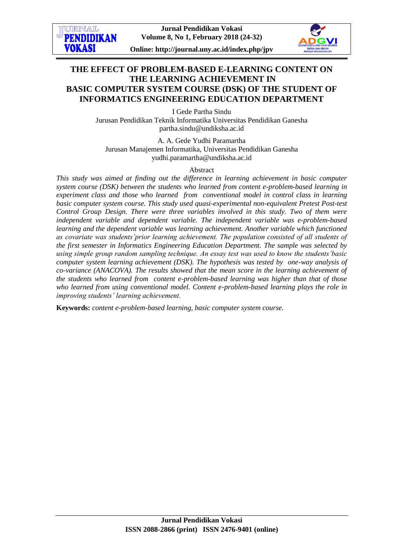

# **THE EFFECT OF PROBLEM-BASED E-LEARNING CONTENT ON THE LEARNING ACHIEVEMENT IN BASIC COMPUTER SYSTEM COURSE (DSK) OF THE STUDENT OF INFORMATICS ENGINEERING EDUCATION DEPARTMENT**

I Gede Partha Sindu Jurusan Pendidikan Teknik Informatika Universitas Pendidikan Ganesha partha.sindu@undiksha.ac.id

A. A. Gede Yudhi Paramartha Jurusan Manajemen Informatika, Universitas Pendidikan Ganesha yudhi.paramartha@undiksha.ac.id

#### Abstract

*This study was aimed at finding out the difference in learning achievement in basic computer system course (DSK) between the students who learned from content e-problem-based learning in experiment class and those who learned from conventional model in control class in learning basic computer system course. This study used quasi-experimental non-equivalent Pretest Post-test Control Group Design. There were three variables involved in this study. Two of them were independent variable and dependent variable. The independent variable was e-problem-based learning and the dependent variable was learning achievement. Another variable which functioned as covariate was students'prior learning achievement. The population consisted of all students of the first semester in Informatics Engineering Education Department. The sample was selected by using simple group random sampling technique. An essay test was used to know the students'basic computer system learning achievement (DSK). The hypothesis was tested by one-way analysis of co-variance (ANACOVA). The results showed that the mean score in the learning achievement of the students who learned from content e-problem-based learning was higher than that of those who learned from using conventional model. Content e-problem-based learning plays the role in improving students' learning achievement.* 

**Keywords:** *content e-problem-based learning, basic computer system course.*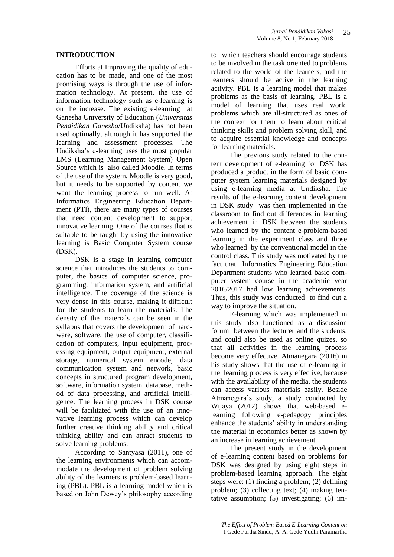### **INTRODUCTION**

Efforts at Improving the quality of education has to be made, and one of the most promising ways is through the use of information technology. At present, the use of information technology such as e-learning is on the increase. The existing e-learning at Ganesha University of Education (*Universitas Pendidikan Ganesha*/Undiksha) has not been used optimally, although it has supported the learning and assessment processes. The Undiksha's e-learning uses the most popular LMS (Learning Management System) Open Source which is also called Moodle. In terms of the use of the system, Moodle is very good, but it needs to be supported by content we want the learning process to run well. At Informatics Engineering Education Department (PTI), there are many types of courses that need content development to support innovative learning. One of the courses that is suitable to be taught by using the innovative learning is Basic Computer System course (DSK).

DSK is a stage in learning computer science that introduces the students to computer, the basics of computer science, programming, information system, and artificial intelligence. The coverage of the science is very dense in this course, making it difficult for the students to learn the materials. The density of the materials can be seen in the syllabus that covers the development of hardware, software, the use of computer, classification of computers, input equipment, processing equipment, output equipment, external storage, numerical system encode, data communication system and network, basic concepts in structured program development, software, information system, database, method of data processing, and artificial intelligence. The learning process in DSK course will be facilitated with the use of an innovative learning process which can develop further creative thinking ability and critical thinking ability and can attract students to solve learning problems.

According to Santyasa (2011), one of the learning environments which can accommodate the development of problem solving ability of the learners is problem-based learning (PBL). PBL is a learning model which is based on John Dewey's philosophy according

to which teachers should encourage students to be involved in the task oriented to problems related to the world of the learners, and the learners should be active in the learning activity. PBL is a learning model that makes problems as the basis of learning. PBL is a model of learning that uses real world problems which are ill-structured as ones of the context for them to learn about critical thinking skills and problem solving skill, and to acquire essential knowledge and concepts for learning materials.

The previous study related to the content development of e-learning for DSK has produced a product in the form of basic computer system learning materials designed by using e-learning media at Undiksha. The results of the e-learning content development in DSK study was then implemented in the classroom to find out differences in learning achievement in DSK between the students who learned by the content e-problem-based learning in the experiment class and those who learned by the conventional model in the control class. This study was motivated by the fact that Informatics Engineering Education Department students who learned basic computer system course in the academic year 2016/2017 had low learning achievements. Thus, this study was conducted to find out a way to improve the situation.

E-learning which was implemented in this study also functioned as a discussion forum between the lecturer and the students, and could also be used as online quizes, so that all activities in the learning process become very effective. Atmanegara (2016) in his study shows that the use of e-learning in the learning process is very effective, because with the availability of the media, the students can access various materials easily. Beside Atmanegara's study, a study conducted by Wijaya (2012) shows that web-based elearning following e-pedagogy principles enhance the students' ability in understanding the material in economics better as shown by an increase in learning achievement.

The present study in the development of e-learning content based on problems for DSK was designed by using eight steps in problem-based learning approach. The eight steps were: (1) finding a problem; (2) defining problem; (3) collecting text; (4) making tentative assumption; (5) investigating; (6) im-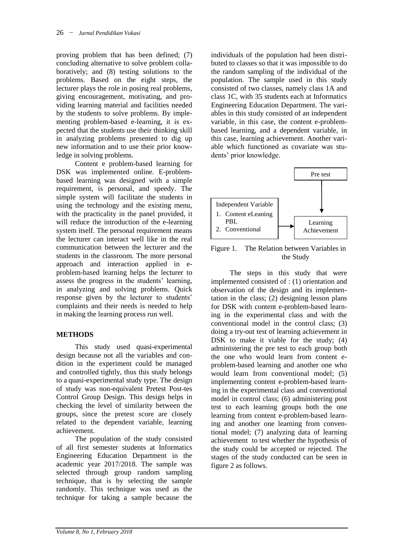proving problem that has been defined; (7) concluding alternative to solve problem collaboratively; and (8) testing solutions to the problems. Based on the eight steps, the lecturer plays the role in posing real problems, giving encouragement, motivating, and providing learning material and facilities needed by the students to solve problems. By implementing problem-based e-learning, it is expected that the students use their thinking skill in analyzing problems presented to dig up new information and to use their prior knowledge in solving problems.

Content e problem-based learning for DSK was implemented online. E-problembased learning was designed with a simple requirement, is personal, and speedy. The simple system will facilitate the students in using the technology and the existing menu, with the practicality in the panel provided, it will reduce the introduction of the e-learning system itself. The personal requirement means the lecturer can interact well like in the real communication between the lecturer and the students in the classroom. The more personal approach and interaction applied in eproblem-based learning helps the lecturer to assess the progress in the students' learning, in analyzing and solving problems. Quick response given by the lecturer to students' complaints and their needs is needed to help in making the learning process run well.

## **METHODS**

This study used quasi-experimental design because not all the variables and condition in the experiment could be managed and controlled tightly, thus this study belongs to a quasi-experimental study type. The design of study was non-equivalent Pretest Post-tes Control Group Design. This design helps in checking the level of similarity between the groups, since the pretest score are closely related to the dependent variable, learning achievement.

The population of the study consisted of all first semester students at Informatics Engineering Education Department in the academic year 2017/2018. The sample was selected through group random sampling technique, that is by selecting the sample randomly. This technique was used as the technique for taking a sample because the

individuals of the population had been distributed to classes so that it was impossible to do the random sampling of the individual of the population. The sample used in this study consisted of two classes, namely class 1A and class 1C, with 35 students each at Informatics Engineering Education Department. The variables in this study consisted of an independent variable, in this case, the content e-problembased learning, and a dependent variable, in this case, learning achievement. Another variable which functioned as covariate was students' prior knowledge.



Figure 1. The Relation between Variables in the Study

The steps in this study that were implemented consisted of : (1) orientation and observation of the design and its implementation in the class; (2) designing lesson plans for DSK with content e-problem-based learning in the experimental class and with the conventional model in the control class; (3) doing a try-out test of learning achievement in DSK to make it viable for the study; (4) administering the pre test to each group both the one who would learn from content eproblem-based learning and another one who would learn from conventional model; (5) implementing content e-problem-based learning in the experimental class and conventional model in control class; (6) administering post test to each learning groups both the one learning from content e-problem-based learning and another one learning from conventional model; (7) analyzing data of learning achievement to test whether the hypothesis of the study could be accepted or rejected. The stages of the study conducted can be seen in figure 2 as follows.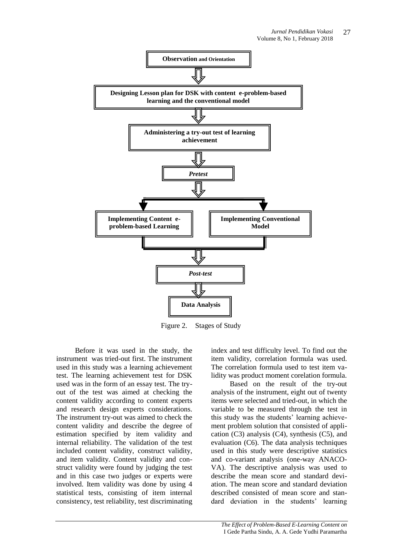

Figure 2. Stages of Study

Before it was used in the study, the instrument was tried-out first. The instrument used in this study was a learning achievement test. The learning achievement test for DSK used was in the form of an essay test. The tryout of the test was aimed at checking the content validity according to content experts and research design experts considerations. The instrument try-out was aimed to check the content validity and describe the degree of estimation specified by item validity and internal reliability. The validation of the test included content validity, construct validity, and item validity. Content validity and construct validity were found by judging the test and in this case two judges or experts were involved. Item validity was done by using 4 statistical tests, consisting of item internal consistency, test reliability, test discriminating index and test difficulty level. To find out the item validity, correlation formula was used. The correlation formula used to test item validity was product moment corelation formula.

Based on the result of the try-out analysis of the instrument, eight out of twenty items were selected and tried-out, in which the variable to be measured through the test in this study was the students' learning achievement problem solution that consisted of application  $(C3)$  analysis  $(C4)$ , synthesis  $(C5)$ , and evaluation (C6). The data analysis techniques used in this study were descriptive statistics and co-variant analysis (one-way ANACO-VA). The descriptive analysis was used to describe the mean score and standard deviation. The mean score and standard deviation described consisted of mean score and standard deviation in the students' learning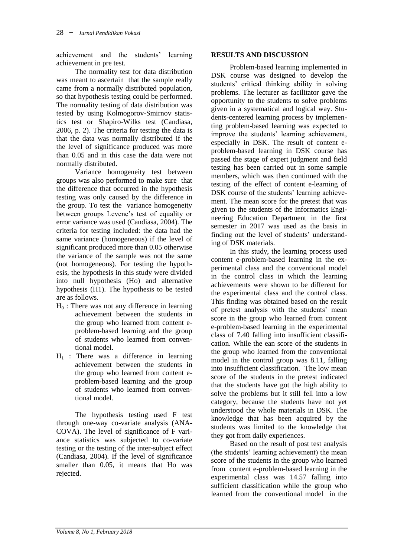achievement and the students' learning achievement in pre test.

The normality test for data distribution was meant to ascertain that the sample really came from a normally distributed population, so that hypothesis testing could be performed. The normality testing of data distribution was tested by using Kolmogorov-Smirnov statistics test or Shapiro-Wilks test (Candiasa, 2006, p. 2). The criteria for testing the data is that the data was normally distributed if the the level of significance produced was more than 0.05 and in this case the data were not normally distributed.

Variance homogeneity test between groups was also performed to make sure that the difference that occurred in the hypothesis testing was only caused by the difference in the group. To test the variance homogeneity between groups Levene's test of equality or error variance was used (Candiasa, 2004). The criteria for testing included: the data had the same variance (homogeneous) if the level of significant produced more than 0.05 otherwise the variance of the sample was not the same (not homogeneous). For testing the hypothesis, the hypothesis in this study were divided into null hypothesis (Ho) and alternative hypothesis (H1). The hypothesis to be tested are as follows.

- $H_0$ : There was not any difference in learning achievement between the students in the group who learned from content eproblem-based learning and the group of students who learned from conventional model.
- $H_1$  : There was a difference in learning achievement between the students in the group who learned from content eproblem-based learning and the group of students who learned from conventional model.

The hypothesis testing used F test through one-way co-variate analysis (ANA-COVA). The level of significance of F variance statistics was subjected to co-variate testing or the testing of the inter-subject effect (Candiasa, 2004). If the level of significance smaller than 0.05, it means that Ho was rejected.

### **RESULTS AND DISCUSSION**

Problem-based learning implemented in DSK course was designed to develop the students' critical thinking ability in solving problems. The lecturer as facilitator gave the opportunity to the students to solve problems given in a systematical and logical way. Students-centered learning process by implementing problem-based learning was expected to improve the students' learning achievement, especially in DSK. The result of content eproblem-based learning in DSK course has passed the stage of expert judgment and field testing has been carried out in some sample members, which was then continued with the testing of the effect of content e-learning of DSK course of the students' learning achievement. The mean score for the pretest that was given to the students of the Informatics Engineering Education Department in the first semester in 2017 was used as the basis in finding out the level of students' understanding of DSK materials.

In this study, the learning process used content e-problem-based learning in the experimental class and the conventional model in the control class in which the learning achievements were shown to be different for the experimental class and the control class. This finding was obtained based on the result of pretest analysis with the students' mean score in the group who learned from content e-problem-based learning in the experimental class of 7.40 falling into insufficient classification. While the ean score of the students in the group who learned from the conventional model in the control group was 8.11, falling into insufficient classification. The low mean score of the students in the pretest indicated that the students have got the high ability to solve the problems but it still fell into a low category, because the students have not yet understood the whole materials in DSK. The knowledge that has been acquired by the students was limited to the knowledge that they got from daily experiences.

Based on the result of post test analysis (the students' learning achievement) the mean score of the students in the group who learned from content e-problem-based learning in the experimental class was 14.57 falling into sufficient classification while the group who learned from the conventional model in the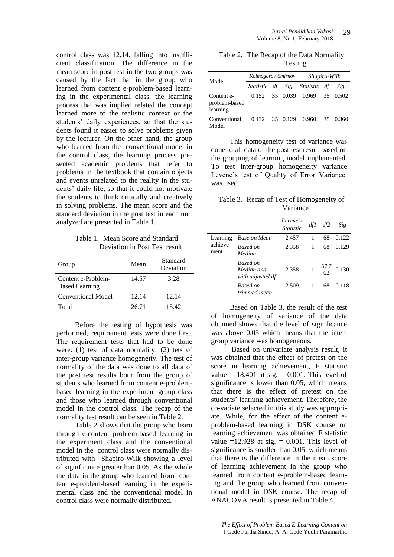control class was 12.14, falling into insufficient classification. The difference in the mean score in post test in the two groups was caused by the fact that in the group who learned from content e-problem-based learning in the experimental class, the learning process that was implied related the concept learned more to the realistic context or the students' daily experiences, so that the students found it easier to solve problems given by the lecturer. On the other hand, the group who learned from the conventional model in the control class, the learning process presented academic problems that refer to problems in the textbook that contain objects and events unrelated to the reality in the students' daily life, so that it could not motivate the students to think critically and creatively in solving problems. The mean score and the standard deviation in the post test in each unit analyzed are presented in Table 1.

Table 1. Mean Score and Standard Deviation in Post Test result

| Group                                       | Mean  | Standard<br>Deviation |
|---------------------------------------------|-------|-----------------------|
| Content e-Problem-<br><b>Based Learning</b> | 14.57 | 3.28                  |
| Conventional Model                          | 12.14 | 12.14                 |
| Total                                       | 26.71 | 15.42                 |

Before the testing of hypothesis was performed, requirement tests were done first. The requirement tests that had to be done were: (1) test of data normality; (2) tets of inter-group variance homogeneity. The test of normality of the data was done to all data of the post test results both from the group of students who learned from content e-problembased learning in the experiment group class and those who learned through conventional model in the control class. The recap of the normality test result can be seen in Table 2.

Table 2 shows that the group who learn through e-content problem-based learning in the experiment class and the conventional model in the control class were normally distributed with Shapiro-Wilk showing a level of significance greater han 0.05. As the whole the data in the group who learned from content e-problem-based learning in the experimental class and the conventional model in control class were normally distributed.

Table 2. The Recap of the Data Normality Testing

| Model                                   | Kolmogorov-Smirnov |  |  | Shapiro-Wilk                   |  |          |
|-----------------------------------------|--------------------|--|--|--------------------------------|--|----------|
|                                         |                    |  |  | Statistic df Sig. Statistic df |  | Sig.     |
| Content e-<br>problem-based<br>learning | 0.152              |  |  | 35 0.039 0.969                 |  | 35 0.502 |
| Conventional<br>Model                   | 0.132              |  |  | 35 0.129 0.960                 |  | 35 0.360 |

This homogeneity test of variance was done to all data of the post test result based on the grouping of learning model implemented. To test inter-group homogeneity variance Levene's test of Quality of Error Variance. was used.

Table 3. Recap of Test of Homogeneity of Variance

|                              |                                                   | Levene's<br><i>Statistic</i> | dfI | df2  | Sig   |
|------------------------------|---------------------------------------------------|------------------------------|-----|------|-------|
| Learning<br>achieve-<br>ment | Base on Mean                                      | 2.457                        |     | 68   | 0.122 |
|                              | Based on<br>Median                                | 2.358                        |     | 68   | 0.129 |
|                              | <b>Based on</b><br>Median and<br>with adjusted df | 2.358                        |     | 57.7 | 0.130 |
|                              | <b>Based on</b><br>trimmed mean                   | 2.509                        |     | 68   | 0.118 |

Based on Table 3, the result of the test of homogeneity of variance of the data obtained shows that the level of significance was above 0.05 which means that the intergroup variance was homogeneous.

Based on univariate analysis result, it was obtained that the effect of pretest on the score in learning achievement, F statistic value =  $18.401$  at sig. = 0.001. This level of significance is lower than 0.05, which means that there is the effect of pretest on the students' learning achievement. Therefore, the co-variate selected in this study was appropriate. While, for the effect of the content eproblem-based learning in DSK course on learning achievement was obtained F statistic value  $=12.928$  at sig.  $= 0.001$ . This level of significance is smaller than 0.05, which means that there is the difference in the mean score of learning achievement in the group who learned from content e-problem-based learning and the group who learned from conventional model in DSK course. The recap of ANACOVA result is presented in Table 4.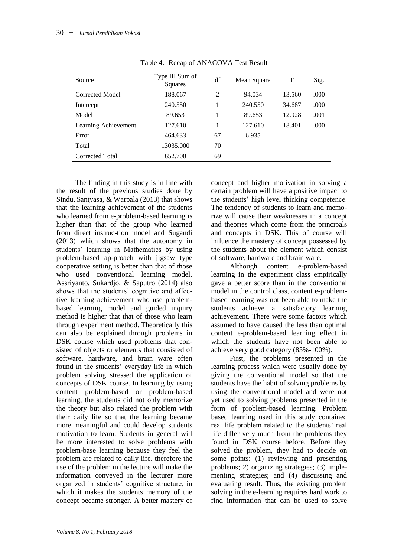| Source               | Type III Sum of<br>Squares | df | Mean Square | F      | Sig. |
|----------------------|----------------------------|----|-------------|--------|------|
| Corrected Model      | 188.067                    | 2  | 94.034      | 13.560 | .000 |
| Intercept            | 240.550                    |    | 240.550     | 34.687 | .000 |
| Model                | 89.653                     |    | 89.653      | 12.928 | .001 |
| Learning Achievement | 127.610                    |    | 127.610     | 18.401 | .000 |
| Error                | 464.633                    | 67 | 6.935       |        |      |
| Total                | 13035.000                  | 70 |             |        |      |
| Corrected Total      | 652.700                    | 69 |             |        |      |

Table 4. Recap of ANACOVA Test Result

The finding in this study is in line with the result of the previous studies done by Sindu, Santyasa, & Warpala (2013) that shows that the learning achievement of the students who learned from e-problem-based learning is higher than that of the group who learned from direct instruc-tion model and Sugandi (2013) which shows that the autonomy in students' learning in Mathematics by using problem-based ap-proach with jigsaw type cooperative setting is better than that of those who used conventional learning model. Assriyanto, Sukardjo, & Saputro (2014) also shows that the students' cognitive and affective learning achievement who use problembased learning model and guided inquiry method is higher that that of those who learn through experiment method. Theoretically this can also be explained through problems in DSK course which used problems that consisted of objects or elements that consisted of software, hardware, and brain ware often found in the students' everyday life in which problem solving stressed the application of concepts of DSK course. In learning by using content problem-based or problem-based learning, the students did not only memorize the theory but also related the problem with their daily life so that the learning became more meaningful and could develop students motivation to learn. Students in general will be more interested to solve problems with problem-base learning because they feel the problem are related to daily life. therefore the use of the problem in the lecture will make the information conveyed in the lecturer more organized in students' cognitive structure, in which it makes the students memory of the concept became stronger. A better mastery of

concept and higher motivation in solving a certain problem will have a positive impact to the students' high level thinking competence. The tendency of students to learn and memorize will cause their weaknesses in a concept and theories which come from the principals and concepts in DSK. This of course will influence the mastery of concept possessed by the students about the element which consist of software, hardware and brain ware.

Although content e-problem-based learning in the experiment class empirically gave a better score than in the conventional model in the control class, content e-problembased learning was not been able to make the students achieve a satisfactory learning achievement. There were some factors which assumed to have caused the less than optimal content e-problem-based learning effect in which the students have not been able to achieve very good category (85%-100%).

First, the problems presented in the learning process which were usually done by giving the conventional model so that the students have the habit of solving problems by using the conventional model and were not yet used to solving problems presented in the form of problem-based learning. Problem based learning used in this study contained real life problem related to the students' real life differ very much from the problems they found in DSK course before. Before they solved the problem, they had to decide on some points: (1) reviewing and presenting problems; 2) organizing strategies; (3) implementing strategies; and (4) discussing and evaluating result. Thus, the existing problem solving in the e-learning requires hard work to find information that can be used to solve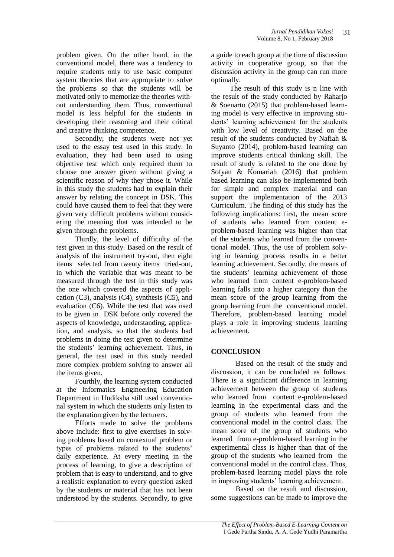problem given. On the other hand, in the conventional model, there was a tendency to require students only to use basic computer system theories that are appropriate to solve the problems so that the students will be motivated only to memorize the theories without understanding them. Thus, conventional model is less helpful for the students in developing their reasoning and their critical and creative thinking competence.

Secondly, the students were not yet used to the essay test used in this study. In evaluation, they had been used to using objective test which only required them to choose one answer given without giving a scientific reason of why they chose it. While in this study the students had to explain their answer by relating the concept in DSK. This could have caused them to feel that they were given very difficult problems without considering the meaning that was intended to be given through the problems.

Thirdly, the level of difficulty of the test given in this study. Based on the result of analysis of the instrument try-out, then eight items selected from twenty items tried-out, in which the variable that was meant to be measured through the test in this study was the one which covered the aspects of application  $(C3)$ , analysis  $(C4)$ , synthesis  $(C5)$ , and evaluation (C6). While the test that was used to be given in DSK before only covered the aspects of knowledge, understanding, application, and analysis, so that the students had problems in doing the test given to determine the students' learning achievement. Thus, in general, the test used in this study needed more complex problem solving to answer all the items given.

Fourthly, the learning system conducted at the Informatics Engineering Education Department in Undiksha still used conventional system in which the students only listen to the explanation given by the lecturers.

Efforts made to solve the problems above include: first to give exercises in solving problems based on contextual problem or types of problems related to the students' daily experience. At every meeting in the process of learning, to give a description of problem that is easy to understand, and to give a realistic explanation to every question asked by the students or material that has not been understood by the students. Secondly, to give

a guide to each group at the time of discussion activity in cooperative group, so that the discussion activity in the group can run more optimally.

The result of this study is n line with the result of the study conducted by Raharjo & Soenarto (2015) that problem-based learning model is very effective in improving students' learning achievement for the students with low level of creativity. Based on the result of the students conducted by Nafiah & Suyanto (2014), problem-based learning can improve students critical thinking skill. The result of study is related to the one done by Sofyan & Komariah (2016) that problem based learning can also be implemented both for simple and complex material and can support the implementation of the 2013 Curriculum. The finding of this study has the following implications: first, the mean score of students who learned from content eproblem-based learning was higher than that of the students who learned from the conventional model. Thus, the use of problem solving in learning process results in a better learning achievement. Secondly, the means of the students' learning achievement of those who learned from content e-problem-based learning falls into a higher category than the mean score of the group learning from the group learning from the conventional model. Therefore, problem-based learning model plays a role in improving students learning achievement.

#### **CONCLUSION**

Based on the result of the study and discussion, it can be concluded as follows. There is a significant difference in learning achievement between the group of students who learned from content e-problem-based learning in the experimental class and the group of students who learned from the conventional model in the control class. The mean score of the group of students who learned from e-problem-based learning in the experimental class is higher than that of the group of the students who learned from the conventional model in the control class. Thus, problem-based learning model plays the role in improving students' learning achievement.

Based on the result and discussion, some suggestions can be made to improve the